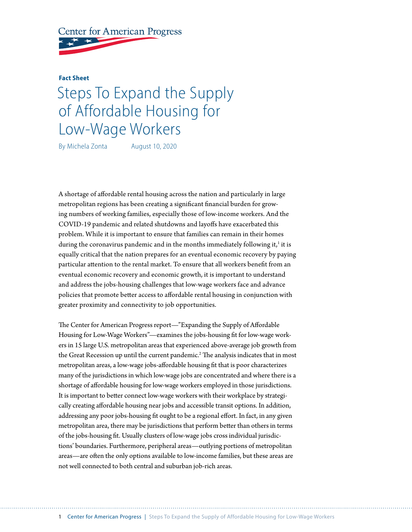

## **Fact Sheet**

## Steps To Expand the Supply of Affordable Housing for Low-Wage Workers

By Michela Zonta August 10, 2020

A shortage of affordable rental housing across the nation and particularly in large metropolitan regions has been creating a significant financial burden for growing numbers of working families, especially those of low-income workers. And the COVID-19 pandemic and related shutdowns and layoffs have exacerbated this problem. While it is important to ensure that families can remain in their homes during the coronavirus pandemic and in the months immediately following it,<sup>1</sup> it is equally critical that the nation prepares for an eventual economic recovery by paying particular attention to the rental market. To ensure that all workers benefit from an eventual economic recovery and economic growth, it is important to understand and address the jobs-housing challenges that low-wage workers face and advance policies that promote better access to affordable rental housing in conjunction with greater proximity and connectivity to job opportunities.

The Center for American Progress report—"Expanding the Supply of Affordable Housing for Low-Wage Workers"—examines the jobs-housing fit for low-wage workers in 15 large U.S. metropolitan areas that experienced above-average job growth from the Great Recession up until the current pandemic.<sup>2</sup> The analysis indicates that in most metropolitan areas, a low-wage jobs-affordable housing fit that is poor characterizes many of the jurisdictions in which low-wage jobs are concentrated and where there is a shortage of affordable housing for low-wage workers employed in those jurisdictions. It is important to better connect low-wage workers with their workplace by strategically creating affordable housing near jobs and accessible transit options. In addition, addressing any poor jobs-housing fit ought to be a regional effort. In fact, in any given metropolitan area, there may be jurisdictions that perform better than others in terms of the jobs-housing fit. Usually clusters of low-wage jobs cross individual jurisdictions' boundaries. Furthermore, peripheral areas—outlying portions of metropolitan areas—are often the only options available to low-income families, but these areas are not well connected to both central and suburban job-rich areas.